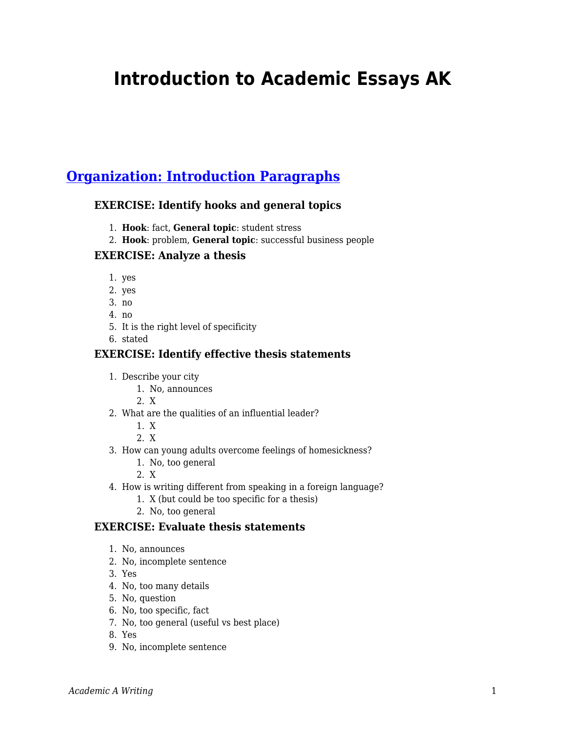# **Introduction to Academic Essays AK**

# **[Organization: Introduction Paragraphs](https://edtechbooks.org/academic_a_writing/introduction_paragra)**

#### **EXERCISE: Identify hooks and general topics**

- 1. **Hook**: fact, **General topic**: student stress
- 2. **Hook**: problem, **General topic**: successful business people

#### **EXERCISE: Analyze a thesis**

- 1. yes
- 2. yes
- 3. no
- 4. no
- 5. It is the right level of specificity
- 6. stated

#### **EXERCISE: Identify effective thesis statements**

- 1. Describe your city
	- 1. No, announces
	- 2. X
- 2. What are the qualities of an influential leader?
	- 1. X
	- 2. X
- 3. How can young adults overcome feelings of homesickness?
	- 1. No, too general
	- 2. X
- 4. How is writing different from speaking in a foreign language?
	- 1. X (but could be too specific for a thesis)
	- 2. No, too general

#### **EXERCISE: Evaluate thesis statements**

- 1. No, announces
- 2. No, incomplete sentence
- 3. Yes
- 4. No, too many details
- 5. No, question
- 6. No, too specific, fact
- 7. No, too general (useful vs best place)
- 8. Yes
- 9. No, incomplete sentence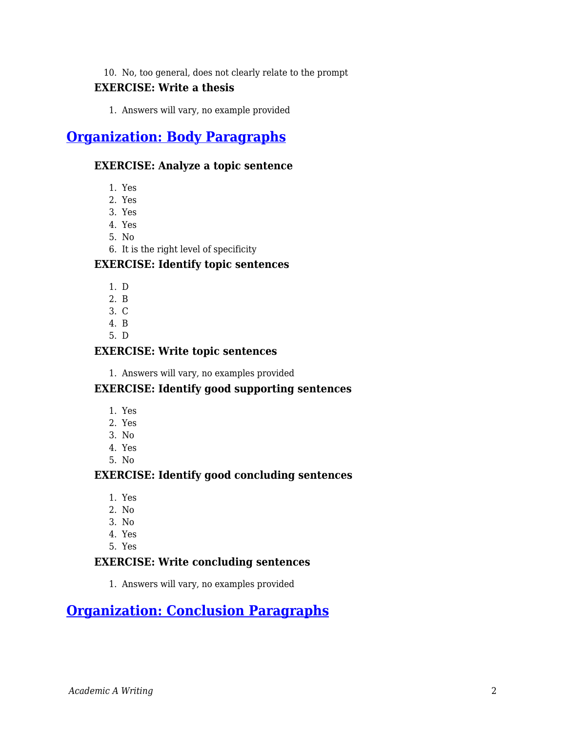## 10. No, too general, does not clearly relate to the prompt

### **EXERCISE: Write a thesis**

1. Answers will vary, no example provided

# **[Organization: Body Paragraphs](https://edtechbooks.org/academic_a_writing/body_paragraphs)**

#### **EXERCISE: Analyze a topic sentence**

- 1. Yes
- 2. Yes
- 3. Yes
- 4. Yes
- 5. No
- 6. It is the right level of specificity

#### **EXERCISE: Identify topic sentences**

- 1. D
- 2. B
- 3. C
- 4. B
- 5. D

#### **EXERCISE: Write topic sentences**

1. Answers will vary, no examples provided

#### **EXERCISE: Identify good supporting sentences**

- 1. Yes
- 2. Yes
- 3. No
- 4. Yes
- 5. No

#### **EXERCISE: Identify good concluding sentences**

- 1. Yes
- 2. No
- 3. No
- 4. Yes
- 5. Yes

#### **EXERCISE: Write concluding sentences**

1. Answers will vary, no examples provided

# **[Organization: Conclusion Paragraphs](https://edtechbooks.org/academic_a_writing/conclusion_paragraph)**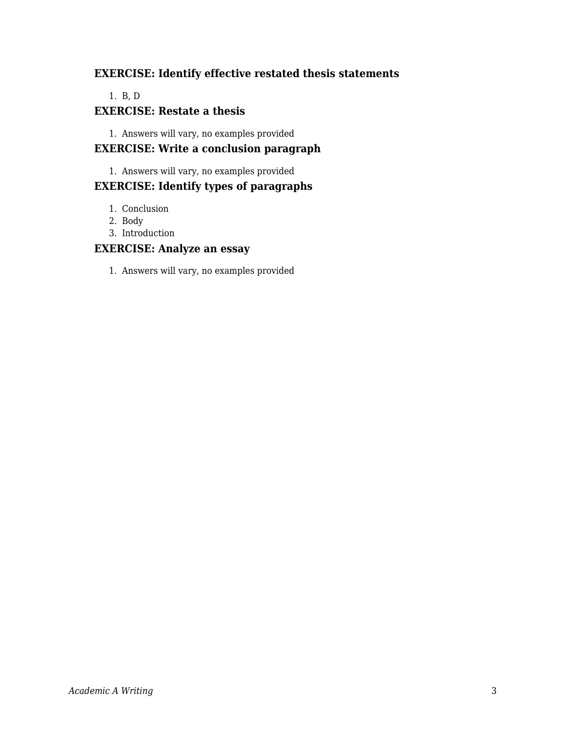### **EXERCISE: Identify effective restated thesis statements**

#### 1. B, D

#### **EXERCISE: Restate a thesis**

1. Answers will vary, no examples provided

### **EXERCISE: Write a conclusion paragraph**

1. Answers will vary, no examples provided

### **EXERCISE: Identify types of paragraphs**

- 1. Conclusion
- 2. Body
- 3. Introduction

#### **EXERCISE: Analyze an essay**

1. Answers will vary, no examples provided